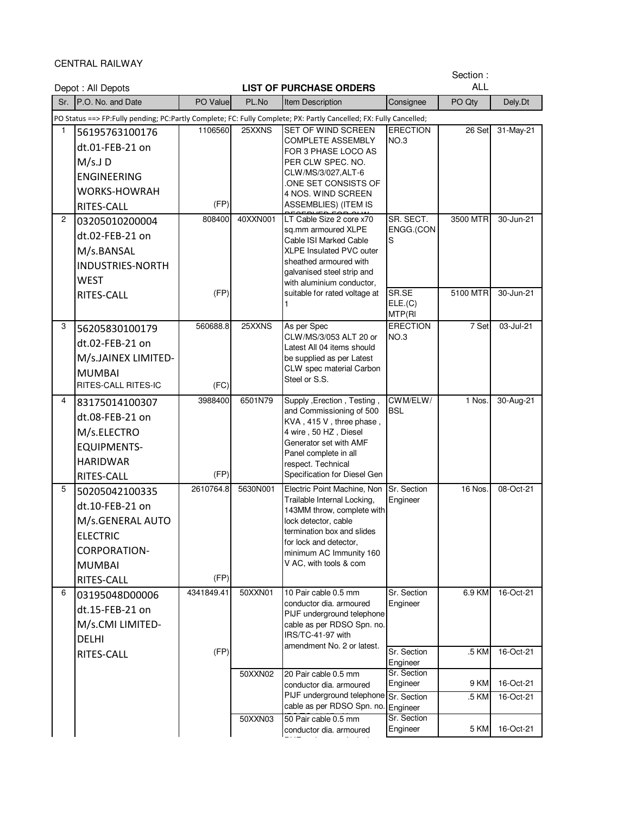CENTRAL RAILWAY

|                | Depot: All Depots                                                                                                              |                   |          | <b>LIST OF PURCHASE ORDERS</b>                                                                                                                                                                                                |                             | Section:<br><b>ALL</b> |           |
|----------------|--------------------------------------------------------------------------------------------------------------------------------|-------------------|----------|-------------------------------------------------------------------------------------------------------------------------------------------------------------------------------------------------------------------------------|-----------------------------|------------------------|-----------|
| Sr.            | P.O. No. and Date                                                                                                              | PO Value          | PL.No    | Item Description                                                                                                                                                                                                              | Consignee                   | PO Qty                 | Dely.Dt   |
|                | PO Status ==> FP:Fully pending; PC:Partly Complete; FC: Fully Complete; PX: Partly Cancelled; FX: Fully Cancelled;             |                   |          |                                                                                                                                                                                                                               |                             |                        |           |
| 1              | 56195763100176<br>dt.01-FEB-21 on<br>$M/s.J$ D<br><b>ENGINEERING</b><br><b>WORKS-HOWRAH</b><br>RITES-CALL                      | 1106560<br>(FP)   | 25XXNS   | SET OF WIND SCREEN<br><b>COMPLETE ASSEMBLY</b><br>FOR 3 PHASE LOCO AS<br>PER CLW SPEC. NO.<br>CLW/MS/3/027,ALT-6<br>ONE SET CONSISTS OF<br>4 NOS. WIND SCREEN<br><b>ASSEMBLIES) (ITEM IS</b>                                  | <b>ERECTION</b><br>NO.3     | 26 Set                 | 31-May-21 |
| $\overline{c}$ | 03205010200004<br>dt.02-FEB-21 on<br>M/s.BANSAL<br><b>INDUSTRIES-NORTH</b><br><b>WEST</b>                                      | 808400            | 40XXN001 | LT Cable Size 2 core x70<br>sq.mm armoured XLPE<br>Cable ISI Marked Cable<br>XLPE Insulated PVC outer<br>sheathed armoured with<br>galvanised steel strip and<br>with aluminium conductor,                                    | SR. SECT.<br>ENGG.(CON<br>S | 3500 MTR               | 30-Jun-21 |
|                | RITES-CALL                                                                                                                     | (FP)              |          | suitable for rated voltage at<br>1                                                                                                                                                                                            | SR.SE<br>ELE.(C)<br>MTP(RI  | 5100 MTR               | 30-Jun-21 |
| 3              | 56205830100179<br>dt.02-FEB-21 on<br>M/s.JAINEX LIMITED-<br><b>MUMBAI</b><br><b>RITES-CALL RITES-IC</b>                        | 560688.8<br>(FC)  | 25XXNS   | As per Spec<br>CLW/MS/3/053 ALT 20 or<br>Latest All 04 items should<br>be supplied as per Latest<br>CLW spec material Carbon<br>Steel or S.S.                                                                                 | <b>ERECTION</b><br>NO.3     | 7 Set                  | 03-Jul-21 |
| 4              | 83175014100307<br>dt.08-FEB-21 on<br>M/s.ELECTRO<br><b>EQUIPMENTS-</b><br><b>HARIDWAR</b><br>RITES-CALL                        | 3988400<br>(FP)   | 6501N79  | Supply , Erection, Testing,<br>and Commissioning of 500<br>KVA, 415 V, three phase,<br>4 wire, 50 HZ, Diesel<br>Generator set with AMF<br>Panel complete in all<br>respect. Technical<br>Specification for Diesel Gen         | CWM/ELW/<br><b>BSL</b>      | 1 Nos.                 | 30-Aug-21 |
| 5              | 50205042100335<br>dt.10-FEB-21 on<br>M/s.GENERAL AUTO<br><b>ELECTRIC</b><br><b>CORPORATION-</b><br><b>MUMBAI</b><br>RITES-CALL | 2610764.8<br>(FP) | 5630N001 | Electric Point Machine, Non<br>Trailable Internal Locking,<br>143MM throw, complete with<br>lock detector, cable<br>termination box and slides<br>for lock and detector,<br>minimum AC Immunity 160<br>V AC, with tools & com | Sr. Section<br>Engineer     | 16 Nos.                | 08-Oct-21 |
| 6              | 03195048D00006<br>dt.15-FEB-21 on<br>M/s.CMI LIMITED-<br><b>DELHI</b>                                                          | 4341849.41        | 50XXN01  | 10 Pair cable 0.5 mm<br>conductor dia. armoured<br>PIJF underground telephone<br>cable as per RDSO Spn. no.<br>IRS/TC-41-97 with<br>amendment No. 2 or latest.                                                                | Sr. Section<br>Engineer     | 6.9 KM                 | 16-Oct-21 |
|                | RITES-CALL                                                                                                                     | (FP)              |          |                                                                                                                                                                                                                               | Sr. Section<br>Engineer     | .5 KM                  | 16-Oct-21 |
|                |                                                                                                                                |                   | 50XXN02  | 20 Pair cable 0.5 mm<br>conductor dia. armoured                                                                                                                                                                               | Sr. Section<br>Engineer     | 9 KM                   | 16-Oct-21 |
|                |                                                                                                                                |                   |          | PIJF underground telephone<br>cable as per RDSO Spn. no.                                                                                                                                                                      | Sr. Section<br>Engineer     | .5 KM                  | 16-Oct-21 |
|                |                                                                                                                                |                   | 50XXN03  | 50 Pair cable 0.5 mm                                                                                                                                                                                                          | Sr. Section                 |                        |           |

PIJF underground telephone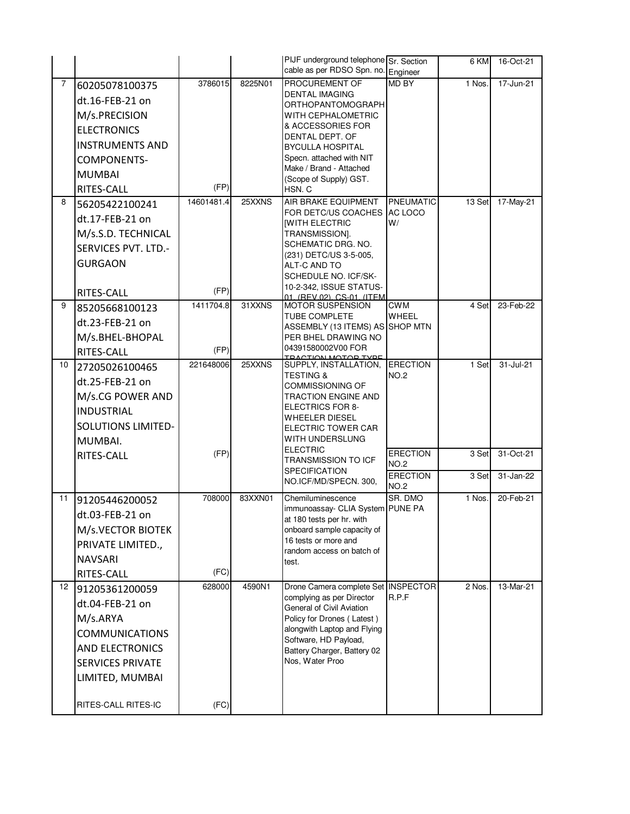|                |                           |            |         | PIJF underground telephone Sr. Section<br>cable as per RDSO Spn. no. Engineer |                                | 6 KM   | 16-Oct-21 |
|----------------|---------------------------|------------|---------|-------------------------------------------------------------------------------|--------------------------------|--------|-----------|
| $\overline{7}$ | 60205078100375            | 3786015    | 8225N01 | PROCUREMENT OF                                                                | <b>MD BY</b>                   | 1 Nos. | 17-Jun-21 |
|                | dt.16-FEB-21 on           |            |         | <b>DENTAL IMAGING</b>                                                         |                                |        |           |
|                | M/s.PRECISION             |            |         | ORTHOPANTOMOGRAPH<br>WITH CEPHALOMETRIC                                       |                                |        |           |
|                | <b>ELECTRONICS</b>        |            |         | & ACCESSORIES FOR                                                             |                                |        |           |
|                | <b>INSTRUMENTS AND</b>    |            |         | DENTAL DEPT. OF                                                               |                                |        |           |
|                |                           |            |         | <b>BYCULLA HOSPITAL</b><br>Specn. attached with NIT                           |                                |        |           |
|                | COMPONENTS-               |            |         | Make / Brand - Attached                                                       |                                |        |           |
|                | <b>MUMBAI</b>             | (FP)       |         | (Scope of Supply) GST.                                                        |                                |        |           |
| 8              | RITES-CALL                | 14601481.4 | 25XXNS  | HSN.C<br>AIR BRAKE EQUIPMENT                                                  | PNEUMATIC                      | 13 Set | 17-May-21 |
|                | 56205422100241            |            |         | FOR DETC/US COACHES AC LOCO                                                   |                                |        |           |
|                | dt.17-FEB-21 on           |            |         | <b>IWITH ELECTRIC</b>                                                         | W/                             |        |           |
|                | M/s.S.D. TECHNICAL        |            |         | TRANSMISSION].<br>SCHEMATIC DRG. NO.                                          |                                |        |           |
|                | SERVICES PVT. LTD.-       |            |         | (231) DETC/US 3-5-005,                                                        |                                |        |           |
|                | <b>GURGAON</b>            |            |         | ALT-C AND TO                                                                  |                                |        |           |
|                |                           |            |         | SCHEDULE NO. ICF/SK-<br>10-2-342, ISSUE STATUS-                               |                                |        |           |
|                | RITES-CALL                | (FP)       |         | 01 (REV 02) CS-01 (ITEM                                                       |                                |        |           |
| 9              | 85205668100123            | 1411704.8  | 31XXNS  | <b>MOTOR SUSPENSION</b><br>TUBE COMPLETE                                      | <b>CWM</b><br>WHEEL            | 4 Set  | 23-Feb-22 |
|                | dt.23-FEB-21 on           |            |         | ASSEMBLY (13 ITEMS) AS SHOP MTN                                               |                                |        |           |
|                | M/s.BHEL-BHOPAL           |            |         | PER BHEL DRAWING NO                                                           |                                |        |           |
|                | RITES-CALL                | (FP)       |         | 04391580002V00 FOR<br><u>ΤΡΑΛΤΙΟΝ ΜΟΤΟΡ ΤΥΡΕ</u>                              |                                |        |           |
| 10             | 27205026100465            | 221648006  | 25XXNS  | SUPPLY, INSTALLATION,<br><b>TESTING &amp;</b>                                 | <b>ERECTION</b><br><b>NO.2</b> | 1 Set  | 31-Jul-21 |
|                | dt.25-FEB-21 on           |            |         | COMMISSIONING OF                                                              |                                |        |           |
|                | M/s.CG POWER AND          |            |         | <b>TRACTION ENGINE AND</b>                                                    |                                |        |           |
|                | <b>INDUSTRIAL</b>         |            |         | <b>ELECTRICS FOR 8-</b><br>WHEELER DIESEL                                     |                                |        |           |
|                | <b>SOLUTIONS LIMITED-</b> |            |         | ELECTRIC TOWER CAR                                                            |                                |        |           |
|                | MUMBAI.                   |            |         | WITH UNDERSLUNG                                                               |                                |        |           |
|                | RITES-CALL                | (FP)       |         | <b>ELECTRIC</b><br>TRANSMISSION TO ICF                                        | <b>ERECTION</b>                | 3 Set  | 31-Oct-21 |
|                |                           |            |         | <b>SPECIFICATION</b>                                                          | <b>NO.2</b><br><b>ERECTION</b> | 3 Set  | 31-Jan-22 |
|                |                           |            |         | NO.ICF/MD/SPECN. 300,                                                         | <b>NO.2</b>                    |        |           |
| 11             | 91205446200052            | 708000     | 83XXN01 | Chemiluminescence                                                             | SR. DMO                        | 1 Nos. | 20-Feb-21 |
|                | dt.03-FEB-21 on           |            |         | immunoassay- CLIA System PUNE PA<br>at 180 tests per hr. with                 |                                |        |           |
|                | M/s.VECTOR BIOTEK         |            |         | onboard sample capacity of                                                    |                                |        |           |
|                | PRIVATE LIMITED.,         |            |         | 16 tests or more and<br>random access on batch of                             |                                |        |           |
|                | <b>NAVSARI</b>            |            |         | test.                                                                         |                                |        |           |
|                | RITES-CALL                | (FC)       |         |                                                                               |                                |        |           |
| 12             | 91205361200059            | 628000     | 4590N1  | Drone Camera complete Set INSPECTOR                                           |                                | 2 Nos. | 13-Mar-21 |
|                | dt.04-FEB-21 on           |            |         | complying as per Director<br>General of Civil Aviation                        | R.P.F                          |        |           |
|                | M/s.ARYA                  |            |         | Policy for Drones (Latest)                                                    |                                |        |           |
|                | <b>COMMUNICATIONS</b>     |            |         | alongwith Laptop and Flying                                                   |                                |        |           |
|                | <b>AND ELECTRONICS</b>    |            |         | Software, HD Payload,<br>Battery Charger, Battery 02                          |                                |        |           |
|                | <b>SERVICES PRIVATE</b>   |            |         | Nos, Water Proo                                                               |                                |        |           |
|                | LIMITED, MUMBAI           |            |         |                                                                               |                                |        |           |
|                |                           |            |         |                                                                               |                                |        |           |
|                | RITES-CALL RITES-IC       | (FC)       |         |                                                                               |                                |        |           |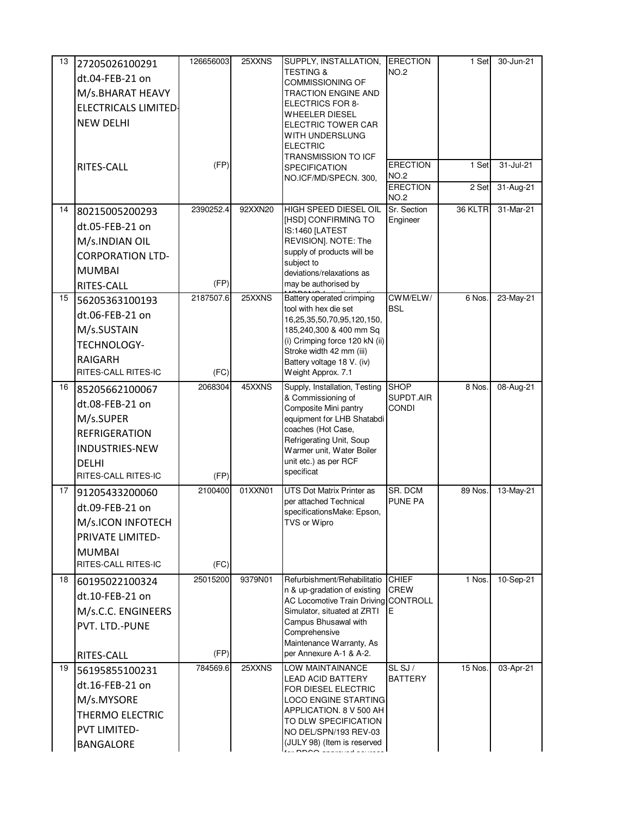| 13 | 27205026100291              | 126656003 | 25XXNS  | SUPPLY, INSTALLATION,                                               | <b>ERECTION</b>                | 1 Set   | 30-Jun-21 |
|----|-----------------------------|-----------|---------|---------------------------------------------------------------------|--------------------------------|---------|-----------|
|    | dt.04-FEB-21 on             |           |         | <b>TESTING &amp;</b><br><b>COMMISSIONING OF</b>                     | <b>NO.2</b>                    |         |           |
|    | M/s.BHARAT HEAVY            |           |         | <b>TRACTION ENGINE AND</b>                                          |                                |         |           |
|    | <b>ELECTRICALS LIMITED-</b> |           |         | <b>ELECTRICS FOR 8-</b>                                             |                                |         |           |
|    | <b>NEW DELHI</b>            |           |         | <b>WHEELER DIESEL</b><br>ELECTRIC TOWER CAR                         |                                |         |           |
|    |                             |           |         | WITH UNDERSLUNG                                                     |                                |         |           |
|    |                             |           |         | <b>ELECTRIC</b>                                                     |                                |         |           |
|    | RITES-CALL                  | (FP)      |         | <b>TRANSMISSION TO ICF</b><br><b>SPECIFICATION</b>                  | <b>ERECTION</b>                | 1 Set   | 31-Jul-21 |
|    |                             |           |         | NO.ICF/MD/SPECN. 300,                                               | <b>NO.2</b>                    |         |           |
|    |                             |           |         |                                                                     | <b>ERECTION</b><br><b>NO.2</b> | 2 Set   | 31-Aug-21 |
| 14 | 80215005200293              | 2390252.4 | 92XXN20 | HIGH SPEED DIESEL OIL                                               | Sr. Section                    | 36 KLTR | 31-Mar-21 |
|    | dt.05-FEB-21 on             |           |         | [HSD] CONFIRMING TO                                                 | Engineer                       |         |           |
|    | M/s.INDIAN OIL              |           |         | IS:1460 [LATEST<br>REVISION]. NOTE: The                             |                                |         |           |
|    | <b>CORPORATION LTD-</b>     |           |         | supply of products will be                                          |                                |         |           |
|    | <b>MUMBAI</b>               |           |         | subject to                                                          |                                |         |           |
|    | RITES-CALL                  | (FP)      |         | deviations/relaxations as<br>may be authorised by                   |                                |         |           |
| 15 | 56205363100193              | 2187507.6 | 25XXNS  | Battery operated crimping                                           | CWM/ELW/                       | 6 Nos.  | 23-May-21 |
|    | dt.06-FEB-21 on             |           |         | tool with hex die set                                               | <b>BSL</b>                     |         |           |
|    | M/s.SUSTAIN                 |           |         | 16,25,35,50,70,95,120,150,<br>185,240,300 & 400 mm Sq               |                                |         |           |
|    | TECHNOLOGY-                 |           |         | (i) Crimping force 120 kN (ii)                                      |                                |         |           |
|    | <b>RAIGARH</b>              |           |         | Stroke width 42 mm (iii)                                            |                                |         |           |
|    | RITES-CALL RITES-IC         | (FC)      |         | Battery voltage 18 V. (iv)<br>Weight Approx. 7.1                    |                                |         |           |
| 16 | 85205662100067              | 2068304   | 45XXNS  | Supply, Installation, Testing                                       | <b>SHOP</b>                    | 8 Nos.  | 08-Aug-21 |
|    | dt.08-FEB-21 on             |           |         | & Commissioning of                                                  | SUPDT.AIR                      |         |           |
|    | M/s.SUPER                   |           |         | Composite Mini pantry<br>equipment for LHB Shatabdi                 | <b>CONDI</b>                   |         |           |
|    | <b>REFRIGERATION</b>        |           |         | coaches (Hot Case,                                                  |                                |         |           |
|    | <b>INDUSTRIES-NEW</b>       |           |         | Refrigerating Unit, Soup                                            |                                |         |           |
|    | DFLHI                       |           |         | Warmer unit, Water Boiler<br>unit etc.) as per RCF                  |                                |         |           |
|    | RITES-CALL RITES-IC         | (FP)      |         | specificat                                                          |                                |         |           |
| 17 | 91205433200060              | 2100400   | 01XXN01 | UTS Dot Matrix Printer as                                           | SR. DCM                        | 89 Nos  | 13-May-21 |
|    | dt.09-FEB-21 on             |           |         | per attached Technical                                              | <b>PUNE PA</b>                 |         |           |
|    | M/s.ICON INFOTECH           |           |         | specificationsMake: Epson,<br>TVS or Wipro                          |                                |         |           |
|    | PRIVATE LIMITED-            |           |         |                                                                     |                                |         |           |
|    | <b>MUMBAI</b>               |           |         |                                                                     |                                |         |           |
|    | RITES-CALL RITES-IC         | (FC)      |         |                                                                     |                                |         |           |
| 18 | 60195022100324              | 25015200  | 9379N01 | Refurbishment/Rehabilitatio                                         | <b>CHIEF</b>                   | 1 Nos.  | 10-Sep-21 |
|    | dt.10-FEB-21 on             |           |         | n & up-gradation of existing                                        | <b>CREW</b>                    |         |           |
|    | M/s.C.C. ENGINEERS          |           |         | AC Locomotive Train Driving CONTROLL<br>Simulator, situated at ZRTI | E                              |         |           |
|    | PVT. LTD.-PUNE              |           |         | Campus Bhusawal with                                                |                                |         |           |
|    |                             |           |         | Comprehensive<br>Maintenance Warranty, As                           |                                |         |           |
|    | RITES-CALL                  | (FP)      |         | per Annexure A-1 & A-2.                                             |                                |         |           |
| 19 | 56195855100231              | 784569.6  | 25XXNS  | LOW MAINTAINANCE                                                    | SL SJ /                        | 15 Nos. | 03-Apr-21 |
|    | dt.16-FEB-21 on             |           |         | <b>LEAD ACID BATTERY</b><br>FOR DIESEL ELECTRIC                     | <b>BATTERY</b>                 |         |           |
|    | M/s.MYSORE                  |           |         | <b>LOCO ENGINE STARTING</b>                                         |                                |         |           |
|    | THERMO ELECTRIC             |           |         | APPLICATION. 8 V 500 AH                                             |                                |         |           |
|    | <b>PVT LIMITED-</b>         |           |         | TO DLW SPECIFICATION<br>NO DEL/SPN/193 REV-03                       |                                |         |           |
|    | <b>BANGALORE</b>            |           |         | (JULY 98) (Item is reserved                                         |                                |         |           |
|    |                             |           |         |                                                                     |                                |         |           |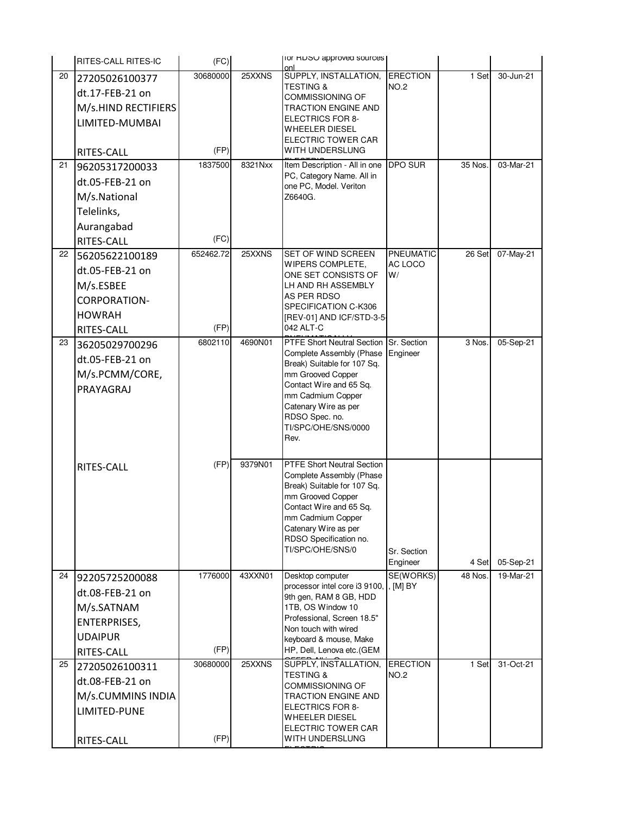|    | <b>RITES-CALL RITES-IC</b> | (FC)              |         | TOR HUSU approved sources                                     |                         |         |           |
|----|----------------------------|-------------------|---------|---------------------------------------------------------------|-------------------------|---------|-----------|
| 20 | 27205026100377             | 30680000          | 25XXNS  | SUPPLY, INSTALLATION,                                         | <b>ERECTION</b>         | 1 Set   | 30-Jun-21 |
|    | dt.17-FEB-21 on            |                   |         | <b>TESTING &amp;</b>                                          | <b>NO.2</b>             |         |           |
|    | M/s.HIND RECTIFIERS        |                   |         | <b>COMMISSIONING OF</b><br><b>TRACTION ENGINE AND</b>         |                         |         |           |
|    | LIMITED-MUMBAI             |                   |         | <b>ELECTRICS FOR 8-</b>                                       |                         |         |           |
|    |                            |                   |         | WHEELER DIESEL                                                |                         |         |           |
|    | RITES-CALL                 | (FP)              |         | ELECTRIC TOWER CAR<br>WITH UNDERSLUNG                         |                         |         |           |
| 21 | 96205317200033             | 1837500           | 8321Nxx | Item Description - All in one                                 | <b>DPO SUR</b>          | 35 Nos. | 03-Mar-21 |
|    | dt.05-FEB-21 on            |                   |         | PC, Category Name. All in                                     |                         |         |           |
|    |                            |                   |         | one PC, Model. Veriton<br>Z6640G.                             |                         |         |           |
|    | M/s.National               |                   |         |                                                               |                         |         |           |
|    | Telelinks,                 |                   |         |                                                               |                         |         |           |
|    | Aurangabad                 |                   |         |                                                               |                         |         |           |
|    | RITES-CALL                 | (FC)<br>652462.72 | 25XXNS  | SET OF WIND SCREEN                                            | <b>PNEUMATIC</b>        | 26 Set  |           |
| 22 | 56205622100189             |                   |         | WIPERS COMPLETE,                                              | AC LOCO                 |         | 07-May-21 |
|    | dt.05-FEB-21 on            |                   |         | ONE SET CONSISTS OF                                           | W/                      |         |           |
|    | M/s.ESBEE                  |                   |         | LH AND RH ASSEMBLY<br>AS PER RDSO                             |                         |         |           |
|    | <b>CORPORATION-</b>        |                   |         | SPECIFICATION C-K306                                          |                         |         |           |
|    | <b>HOWRAH</b>              |                   |         | [REV-01] AND ICF/STD-3-5                                      |                         |         |           |
|    | RITES-CALL                 | (FP)              |         | 042 ALT-C                                                     |                         |         |           |
| 23 | 36205029700296             | 6802110           | 4690N01 | <b>PTFE Short Neutral Section</b><br>Complete Assembly (Phase | Sr. Section<br>Engineer | 3 Nos.  | 05-Sep-21 |
|    | dt.05-FEB-21 on            |                   |         | Break) Suitable for 107 Sq.                                   |                         |         |           |
|    | M/s.PCMM/CORE,             |                   |         | mm Grooved Copper                                             |                         |         |           |
|    | PRAYAGRAJ                  |                   |         | Contact Wire and 65 Sq.<br>mm Cadmium Copper                  |                         |         |           |
|    |                            |                   |         | Catenary Wire as per                                          |                         |         |           |
|    |                            |                   |         | RDSO Spec. no.                                                |                         |         |           |
|    |                            |                   |         | TI/SPC/OHE/SNS/0000<br>Rev.                                   |                         |         |           |
|    |                            |                   |         |                                                               |                         |         |           |
|    | RITES-CALL                 | (FP)              | 9379N01 | PTFE Short Neutral Section                                    |                         |         |           |
|    |                            |                   |         | Complete Assembly (Phase                                      |                         |         |           |
|    |                            |                   |         | Break) Suitable for 107 Sq.<br>mm Grooved Copper              |                         |         |           |
|    |                            |                   |         | Contact Wire and 65 Sq.                                       |                         |         |           |
|    |                            |                   |         | mm Cadmium Copper                                             |                         |         |           |
|    |                            |                   |         | Catenary Wire as per<br>RDSO Specification no.                |                         |         |           |
|    |                            |                   |         | TI/SPC/OHE/SNS/0                                              | Sr. Section             |         |           |
|    |                            |                   |         |                                                               | Engineer                | 4 Set   | 05-Sep-21 |
| 24 | 92205725200088             | 1776000           | 43XXN01 | Desktop computer                                              | SE(WORKS)               | 48 Nos. | 19-Mar-21 |
|    | dt.08-FEB-21 on            |                   |         | processor intel core i3 9100,<br>9th gen, RAM 8 GB, HDD       | [M] BY                  |         |           |
|    | M/s.SATNAM                 |                   |         | 1TB, OS Window 10                                             |                         |         |           |
|    | ENTERPRISES,               |                   |         | Professional, Screen 18.5"                                    |                         |         |           |
|    | <b>UDAIPUR</b>             |                   |         | Non touch with wired<br>keyboard & mouse, Make                |                         |         |           |
|    | RITES-CALL                 | (FP)              |         | HP, Dell, Lenova etc.(GEM                                     |                         |         |           |
| 25 | 27205026100311             | 30680000          | 25XXNS  | SUPPLY, INSTALLATION,                                         | <b>ERECTION</b>         | 1 Set   | 31-Oct-21 |
|    | dt.08-FEB-21 on            |                   |         | <b>TESTING &amp;</b>                                          | <b>NO.2</b>             |         |           |
|    | M/s.CUMMINS INDIA          |                   |         | <b>COMMISSIONING OF</b><br><b>TRACTION ENGINE AND</b>         |                         |         |           |
|    | LIMITED-PUNE               |                   |         | <b>ELECTRICS FOR 8-</b>                                       |                         |         |           |
|    |                            |                   |         | WHEELER DIESEL                                                |                         |         |           |
|    | RITES-CALL                 | (FP)              |         | ELECTRIC TOWER CAR<br>WITH UNDERSLUNG                         |                         |         |           |
|    |                            |                   |         |                                                               |                         |         |           |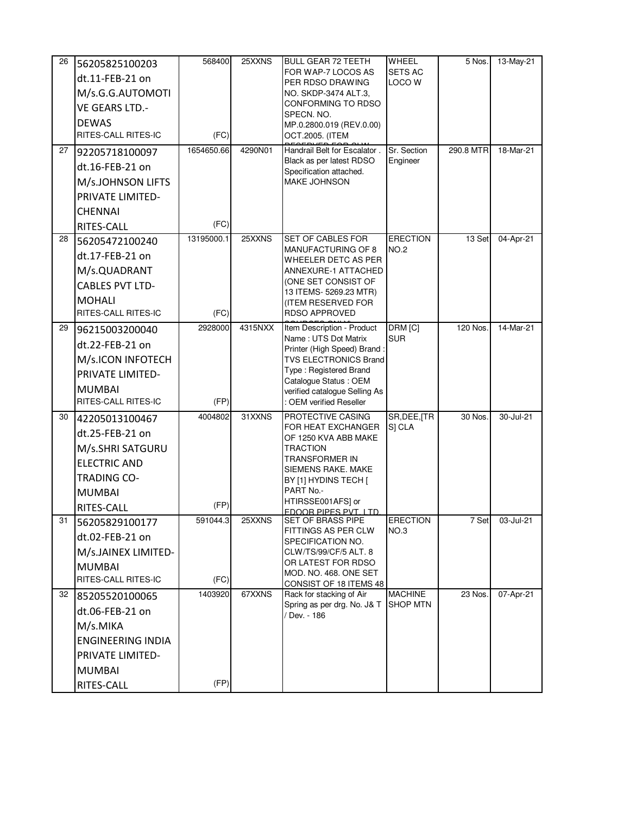| 26<br>27 | 56205825100203<br>dt.11-FEB-21 on<br>M/s.G.G.AUTOMOTI<br><b>VE GEARS LTD.-</b><br><b>DEWAS</b><br>RITES-CALL RITES-IC<br>92205718100097 | 568400<br>(FC)<br>1654650.66 | 25XXNS<br>4290N01 | <b>BULL GEAR 72 TEETH</b><br>FOR WAP-7 LOCOS AS<br>PER RDSO DRAWING<br>NO. SKDP-3474 ALT.3,<br>CONFORMING TO RDSO<br>SPECN. NO.<br>MP.0.2800.019 (REV.0.00)<br>OCT.2005. (ITEM<br>Handrail Belt for Escalator.                   | WHEEL<br><b>SETS AC</b><br><b>LOCO W</b><br>Sr. Section | 5 Nos.<br>290.8 MTR | 13-May-21<br>18-Mar-21 |
|----------|-----------------------------------------------------------------------------------------------------------------------------------------|------------------------------|-------------------|----------------------------------------------------------------------------------------------------------------------------------------------------------------------------------------------------------------------------------|---------------------------------------------------------|---------------------|------------------------|
|          | dt.16-FEB-21 on<br>M/s.JOHNSON LIFTS<br>PRIVATE LIMITED-<br><b>CHENNAI</b><br>RITES-CALL                                                | (FC)                         |                   | Black as per latest RDSO<br>Specification attached.<br><b>MAKE JOHNSON</b>                                                                                                                                                       | Engineer                                                |                     |                        |
| 28       | 56205472100240<br>dt.17-FEB-21 on<br>M/s.QUADRANT<br><b>CABLES PVT LTD-</b><br><b>MOHALI</b><br>RITES-CALL RITES-IC                     | 13195000.1<br>(FC)           | 25XXNS            | <b>SET OF CABLES FOR</b><br><b>MANUFACTURING OF 8</b><br>WHEELER DETC AS PER<br>ANNEXURE-1 ATTACHED<br>(ONE SET CONSIST OF<br>13 ITEMS- 5269.23 MTR)<br>(ITEM RESERVED FOR<br><b>RDSO APPROVED</b>                               | <b>ERECTION</b><br><b>NO.2</b>                          | 13 Set              | 04-Apr-21              |
| 29       | 96215003200040<br>dt.22-FEB-21 on<br>M/s.ICON INFOTECH<br>PRIVATE LIMITED-<br><b>MUMBAI</b><br>RITES-CALL RITES-IC                      | 2928000<br>(FP)              | 4315NXX           | Item Description - Product<br>Name: UTS Dot Matrix<br>Printer (High Speed) Brand:<br><b>TVS ELECTRONICS Brand</b><br>Type: Registered Brand<br>Catalogue Status: OEM<br>verified catalogue Selling As<br>: OEM verified Reseller | DRM <sub>[C]</sub><br><b>SUR</b>                        | 120 Nos             | 14-Mar-21              |
| 30       | 42205013100467<br>dt.25-FEB-21 on<br>M/s.SHRI SATGURU<br><b>ELECTRIC AND</b><br><b>TRADING CO-</b><br><b>MUMBAI</b><br>RITES-CALL       | 4004802<br>(FP)              | 31XXNS            | PROTECTIVE CASING<br>FOR HEAT EXCHANGER<br>OF 1250 KVA ABB MAKE<br><b>TRACTION</b><br>TRANSFORMER IN<br>SIEMENS RAKE. MAKE<br>BY [1] HYDINS TECH [<br>PART No.-<br>HTIRSSE001AFS] or<br>FDOOR PIPES PVT. LTD.                    | SR, DEE, [TR<br>S] CLA                                  | 30 Nos.             | 30-Jul-21              |
| 31       | 56205829100177<br>dt.02-FEB-21 on<br>M/s.JAINEX LIMITED-<br><b>MUMBAI</b><br>RITES-CALL RITES-IC                                        | 591044.3<br>(FC)             | 25XXNS            | SET OF BRASS PIPE<br><b>FITTINGS AS PER CLW</b><br>SPECIFICATION NO.<br>CLW/TS/99/CF/5 ALT. 8<br>OR LATEST FOR RDSO<br>MOD. NO. 468. ONE SET<br>CONSIST OF 18 ITEMS 48                                                           | <b>ERECTION</b><br>NO.3                                 | 7 Set               | 03-Jul-21              |
| 32       | 85205520100065<br>dt.06-FEB-21 on<br>M/s.MIKA<br><b>ENGINEERING INDIA</b><br>PRIVATE LIMITED-<br><b>MUMBAI</b><br>RITES-CALL            | 1403920<br>(FP)              | 67XXNS            | Rack for stacking of Air<br>Spring as per drg. No. J& T<br>Dev. - 186                                                                                                                                                            | <b>MACHINE</b><br><b>SHOP MTN</b>                       | 23 Nos.             | 07-Apr-21              |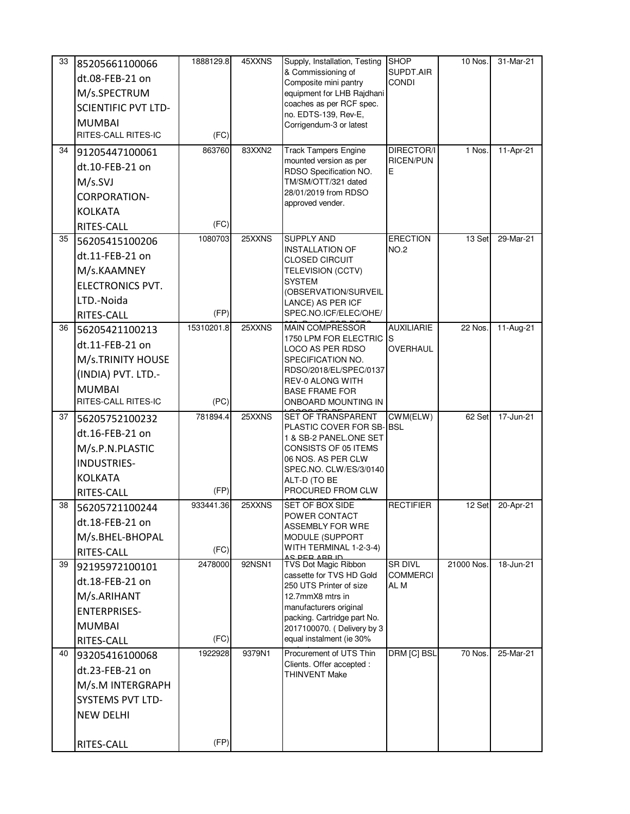| 33 | 85205661100066             | 1888129.8  | 45XXNS | Supply, Installation, Testing                             | <b>SHOP</b>               | 10 Nos.    | 31-Mar-21   |
|----|----------------------------|------------|--------|-----------------------------------------------------------|---------------------------|------------|-------------|
|    | dt.08-FEB-21 on            |            |        | & Commissioning of<br>Composite mini pantry               | SUPDT.AIR<br><b>CONDI</b> |            |             |
|    | M/s.SPECTRUM               |            |        | equipment for LHB Rajdhani                                |                           |            |             |
|    | <b>SCIENTIFIC PVT LTD-</b> |            |        | coaches as per RCF spec.                                  |                           |            |             |
|    | <b>MUMBAI</b>              |            |        | no. EDTS-139, Rev-E,<br>Corrigendum-3 or latest           |                           |            |             |
|    | RITES-CALL RITES-IC        | (FC)       |        |                                                           |                           |            |             |
| 34 | 91205447100061             | 863760     | 83XXN2 | <b>Track Tampers Engine</b>                               | DIRECTOR/I                | 1 Nos.     | 11-Apr-21   |
|    | dt.10-FEB-21 on            |            |        | mounted version as per<br>RDSO Specification NO.          | <b>RICEN/PUN</b><br>Е     |            |             |
|    | M/s.SVI                    |            |        | TM/SM/OTT/321 dated                                       |                           |            |             |
|    | <b>CORPORATION-</b>        |            |        | 28/01/2019 from RDSO                                      |                           |            |             |
|    | <b>KOLKATA</b>             |            |        | approved vender.                                          |                           |            |             |
|    | RITES-CALL                 | (FC)       |        |                                                           |                           |            |             |
| 35 | 56205415100206             | 1080703    | 25XXNS | <b>SUPPLY AND</b>                                         | <b>ERECTION</b>           | 13 Set     | 29-Mar-21   |
|    | dt.11-FEB-21 on            |            |        | <b>INSTALLATION OF</b><br><b>CLOSED CIRCUIT</b>           | <b>NO.2</b>               |            |             |
|    | M/s.KAAMNEY                |            |        | TELEVISION (CCTV)                                         |                           |            |             |
|    | <b>ELECTRONICS PVT.</b>    |            |        | <b>SYSTEM</b>                                             |                           |            |             |
|    | LTD.-Noida                 |            |        | (OBSERVATION/SURVEIL<br>LANCE) AS PER ICF                 |                           |            |             |
|    | RITES-CALL                 | (FP)       |        | SPEC.NO.ICF/ELEC/OHE/                                     |                           |            |             |
| 36 | 56205421100213             | 15310201.8 | 25XXNS | <b>MAIN COMPRESSOR</b>                                    | <b>AUXILIARIE</b>         | 22 Nos.    | $11-Aug-21$ |
|    | dt.11-FEB-21 on            |            |        | 1750 LPM FOR ELECTRIC S<br>LOCO AS PER RDSO               | OVERHAUL                  |            |             |
|    | M/s.TRINITY HOUSE          |            |        | SPECIFICATION NO.                                         |                           |            |             |
|    | (INDIA) PVT. LTD.-         |            |        | RDSO/2018/EL/SPEC/0137                                    |                           |            |             |
|    | <b>MUMBAI</b>              |            |        | <b>REV-0 ALONG WITH</b><br><b>BASE FRAME FOR</b>          |                           |            |             |
|    | RITES-CALL RITES-IC        | (PC)       |        | ONBOARD MOUNTING IN                                       |                           |            |             |
| 37 | 56205752100232             | 781894.4   | 25XXNS | SET OF TRANSPARENT                                        | CWM(ELW)                  | 62 Set     | 17-Jun-21   |
|    | dt.16-FEB-21 on            |            |        | PLASTIC COVER FOR SB-BSL<br>1 & SB-2 PANEL.ONE SET        |                           |            |             |
|    | M/s.P.N.PLASTIC            |            |        | CONSISTS OF 05 ITEMS                                      |                           |            |             |
|    | <b>INDUSTRIES-</b>         |            |        | 06 NOS. AS PER CLW<br>SPEC.NO. CLW/ES/3/0140              |                           |            |             |
|    | <b>KOLKATA</b>             |            |        | ALT-D (TO BE                                              |                           |            |             |
|    | RITES-CALL                 | (FP)       |        | PROCURED FROM CLW                                         |                           |            |             |
| 38 | 56205721100244             | 933441.36  | 25XXNS | <b>SET OF BOX SIDE</b>                                    | <b>RECTIFIER</b>          | 12 Set     | 20-Apr-21   |
|    | dt.18-FEB-21 on            |            |        | POWER CONTACT<br><b>ASSEMBLY FOR WRE</b>                  |                           |            |             |
|    | M/s.BHEL-BHOPAL            |            |        | MODULE (SUPPORT                                           |                           |            |             |
|    | RITES-CALL                 | (FC)       |        | WITH TERMINAL 1-2-3-4)<br>AC DED ADD ID                   |                           |            |             |
| 39 | 92195972100101             | 2478000    | 92NSN1 | TVS Dot Magic Ribbon                                      | SR DIVL                   | 21000 Nos. | 18-Jun-21   |
|    |                            |            |        |                                                           |                           |            |             |
|    | dt.18-FEB-21 on            |            |        | cassette for TVS HD Gold<br>250 UTS Printer of size       | <b>COMMERCI</b><br>AL M   |            |             |
|    | M/s.ARIHANT                |            |        | 12.7mmX8 mtrs in                                          |                           |            |             |
|    | <b>ENTERPRISES-</b>        |            |        | manufacturers original                                    |                           |            |             |
|    | <b>MUMBAI</b>              |            |        | packing. Cartridge part No.<br>2017100070. (Delivery by 3 |                           |            |             |
|    | RITES-CALL                 | (FC)       |        | equal instalment (ie 30%                                  |                           |            |             |
| 40 | 93205416100068             | 1922928    | 9379N1 | Procurement of UTS Thin                                   | DRM [C] BSL               | 70 Nos.    | 25-Mar-21   |
|    | dt.23-FEB-21 on            |            |        | Clients. Offer accepted :<br><b>THINVENT Make</b>         |                           |            |             |
|    | M/s.M INTERGRAPH           |            |        |                                                           |                           |            |             |
|    | <b>SYSTEMS PVT LTD-</b>    |            |        |                                                           |                           |            |             |
|    | <b>NEW DELHI</b>           |            |        |                                                           |                           |            |             |
|    | RITES-CALL                 | (FP)       |        |                                                           |                           |            |             |